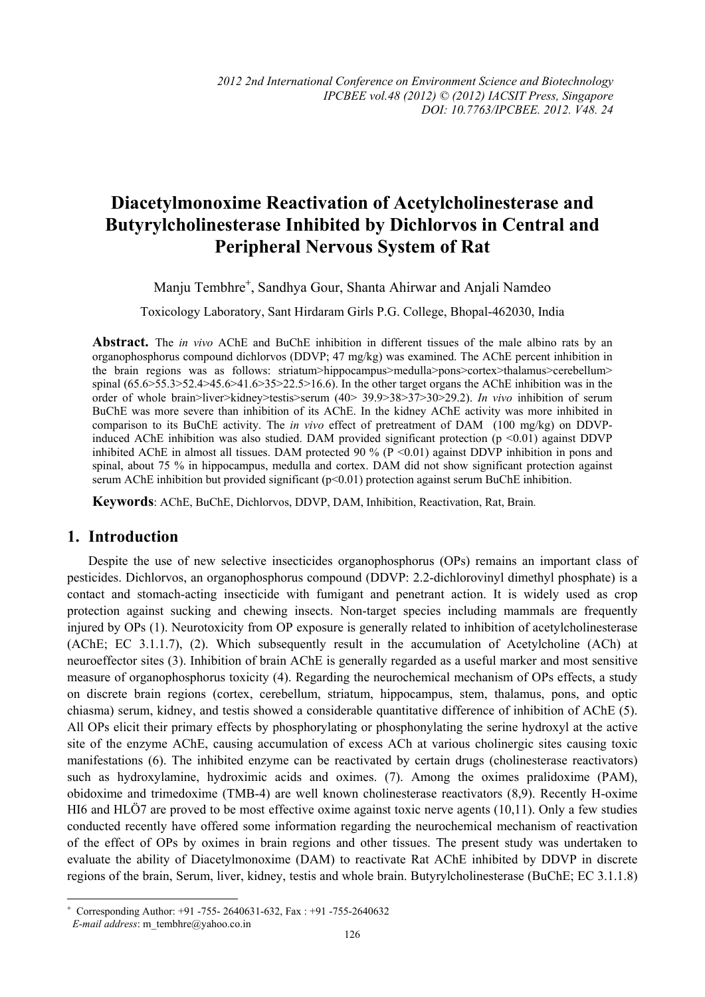# **Diacetylmonoxime Reactivation of Acetylcholinesterase and Butyrylcholinesterase Inhibited by Dichlorvos in Central and Peripheral Nervous System of Rat**

Manju Tembhre<sup>+</sup>, Sandhya Gour, Shanta Ahirwar and Anjali Namdeo

Toxicology Laboratory, Sant Hirdaram Girls P.G. College, Bhopal-462030, India

**Abstract.** The *in vivo* AChE and BuChE inhibition in different tissues of the male albino rats by an organophosphorus compound dichlorvos (DDVP; 47 mg/kg) was examined. The AChE percent inhibition in the brain regions was as follows: striatum>hippocampus>medulla>pons>cortex>thalamus>cerebellum> spinal  $(65.6 > 55.3 > 52.4 > 45.6 > 41.6 > 35 > 22.5 > 16.6)$ . In the other target organs the AChE inhibition was in the order of whole brain>liver>kidney>testis>serum (40> 39.9>38>37>30>29.2). *In vivo* inhibition of serum BuChE was more severe than inhibition of its AChE. In the kidney AChE activity was more inhibited in comparison to its BuChE activity. The *in vivo* effect of pretreatment of DAM (100 mg/kg) on DDVPinduced AChE inhibition was also studied. DAM provided significant protection ( $p \le 0.01$ ) against DDVP inhibited AChE in almost all tissues. DAM protected 90 % (P <0.01) against DDVP inhibition in pons and spinal, about 75 % in hippocampus, medulla and cortex. DAM did not show significant protection against serum AChE inhibition but provided significant ( $p<0.01$ ) protection against serum BuChE inhibition.

**Keywords**: AChE, BuChE, Dichlorvos, DDVP, DAM, Inhibition, Reactivation, Rat, Brain*.* 

#### **1. Introduction**

Despite the use of new selective insecticides organophosphorus (OPs) remains an important class of pesticides. Dichlorvos, an organophosphorus compound (DDVP: 2.2-dichlorovinyl dimethyl phosphate) is a contact and stomach-acting insecticide with fumigant and penetrant action. It is widely used as crop protection against sucking and chewing insects. Non-target species including mammals are frequently injured by OPs (1). Neurotoxicity from OP exposure is generally related to inhibition of acetylcholinesterase (AChE; EC 3.1.1.7), (2). Which subsequently result in the accumulation of Acetylcholine (ACh) at neuroeffector sites (3). Inhibition of brain AChE is generally regarded as a useful marker and most sensitive measure of organophosphorus toxicity (4). Regarding the neurochemical mechanism of OPs effects, a study on discrete brain regions (cortex, cerebellum, striatum, hippocampus, stem, thalamus, pons, and optic chiasma) serum, kidney, and testis showed a considerable quantitative difference of inhibition of AChE (5). All OPs elicit their primary effects by phosphorylating or phosphonylating the serine hydroxyl at the active site of the enzyme AChE, causing accumulation of excess ACh at various cholinergic sites causing toxic manifestations (6). The inhibited enzyme can be reactivated by certain drugs (cholinesterase reactivators) such as hydroxylamine, hydroximic acids and oximes. (7). Among the oximes pralidoxime (PAM), obidoxime and trimedoxime (TMB-4) are well known cholinesterase reactivators (8,9). Recently H-oxime HI6 and HLÖ7 are proved to be most effective oxime against toxic nerve agents (10,11). Only a few studies conducted recently have offered some information regarding the neurochemical mechanism of reactivation of the effect of OPs by oximes in brain regions and other tissues. The present study was undertaken to evaluate the ability of Diacetylmonoxime (DAM) to reactivate Rat AChE inhibited by DDVP in discrete regions of the brain, Serum, liver, kidney, testis and whole brain. Butyrylcholinesterase (BuChE; EC 3.1.1.8)

 $\overline{a}$ 

<sup>+</sup> Corresponding Author: +91 -755- 2640631-632, Fax : +91 -755-2640632

*E-mail address*: m\_tembhre@yahoo.co.in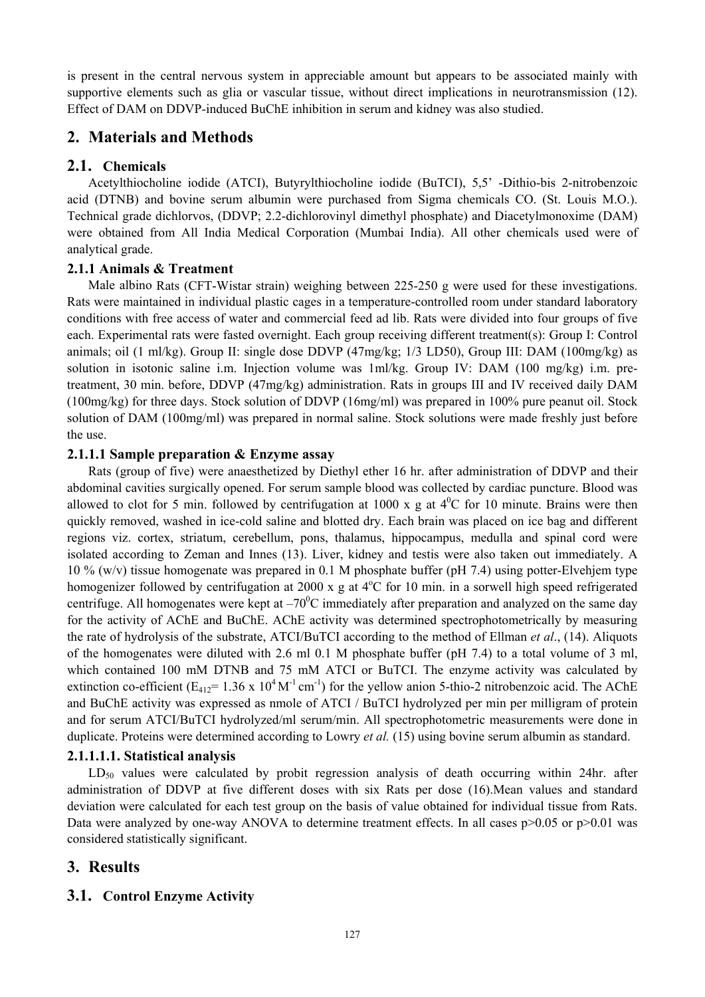is present in the central nervous system in appreciable amount but appears to be associated mainly with supportive elements such as glia or vascular tissue, without direct implications in neurotransmission (12). Effect of DAM on DDVP-induced BuChE inhibition in serum and kidney was also studied.

## **2. Materials and Methods**

### **2.1. Chemicals**

Acetylthiocholine iodide (ATCI), Butyrylthiocholine iodide (BuTCI), 5,5' -Dithio-bis 2-nitrobenzoic acid (DTNB) and bovine serum albumin were purchased from Sigma chemicals CO. (St. Louis M.O.). Technical grade dichlorvos, (DDVP; 2.2-dichlorovinyl dimethyl phosphate) and Diacetylmonoxime (DAM) were obtained from All India Medical Corporation (Mumbai India). All other chemicals used were of analytical grade.

### **2.1.1 Animals & Treatment**

Male albino Rats (CFT-Wistar strain) weighing between 225-250 g were used for these investigations. Rats were maintained in individual plastic cages in a temperature-controlled room under standard laboratory conditions with free access of water and commercial feed ad lib. Rats were divided into four groups of five each. Experimental rats were fasted overnight. Each group receiving different treatment(s): Group I: Control animals; oil (1 ml/kg). Group II: single dose DDVP (47mg/kg; 1/3 LD50), Group III: DAM (100mg/kg) as solution in isotonic saline i.m. Injection volume was 1ml/kg. Group IV: DAM (100 mg/kg) i.m. pretreatment, 30 min. before, DDVP (47mg/kg) administration. Rats in groups III and IV received daily DAM (100mg/kg) for three days. Stock solution of DDVP (16mg/ml) was prepared in 100% pure peanut oil. Stock solution of DAM (100mg/ml) was prepared in normal saline. Stock solutions were made freshly just before the use.

#### **2.1.1.1 Sample preparation & Enzyme assay**

Rats (group of five) were anaesthetized by Diethyl ether 16 hr. after administration of DDVP and their abdominal cavities surgically opened. For serum sample blood was collected by cardiac puncture. Blood was allowed to clot for 5 min. followed by centrifugation at 1000 x g at  $4^{\circ}$ C for 10 minute. Brains were then quickly removed, washed in ice-cold saline and blotted dry. Each brain was placed on ice bag and different regions viz. cortex, striatum, cerebellum, pons, thalamus, hippocampus, medulla and spinal cord were isolated according to Zeman and Innes (13). Liver, kidney and testis were also taken out immediately. A 10 % (w/v) tissue homogenate was prepared in 0.1 M phosphate buffer (pH 7.4) using potter-Elvehjem type homogenizer followed by centrifugation at 2000 x g at 4°C for 10 min. in a sorwell high speed refrigerated centrifuge. All homogenates were kept at  $-70^{\circ}$ C immediately after preparation and analyzed on the same day for the activity of AChE and BuChE. AChE activity was determined spectrophotometrically by measuring the rate of hydrolysis of the substrate, ATCI/BuTCI according to the method of Ellman *et al*., (14). Aliquots of the homogenates were diluted with 2.6 ml 0.1 M phosphate buffer (pH 7.4) to a total volume of 3 ml, which contained 100 mM DTNB and 75 mM ATCI or BuTCI. The enzyme activity was calculated by extinction co-efficient ( $E_{412}$ = 1.36 x 10<sup>4</sup> M<sup>-1</sup> cm<sup>-1</sup>) for the yellow anion 5-thio-2 nitrobenzoic acid. The AChE and BuChE activity was expressed as nmole of ATCI / BuTCI hydrolyzed per min per milligram of protein and for serum ATCI/BuTCI hydrolyzed/ml serum/min. All spectrophotometric measurements were done in duplicate. Proteins were determined according to Lowry *et al.* (15) using bovine serum albumin as standard.

### **2.1.1.1.1. Statistical analysis**

 $LD_{50}$  values were calculated by probit regression analysis of death occurring within 24hr. after administration of DDVP at five different doses with six Rats per dose (16).Mean values and standard deviation were calculated for each test group on the basis of value obtained for individual tissue from Rats. Data were analyzed by one-way ANOVA to determine treatment effects. In all cases p>0.05 or p>0.01 was considered statistically significant.

# **3. Results**

### **3.1. Control Enzyme Activity**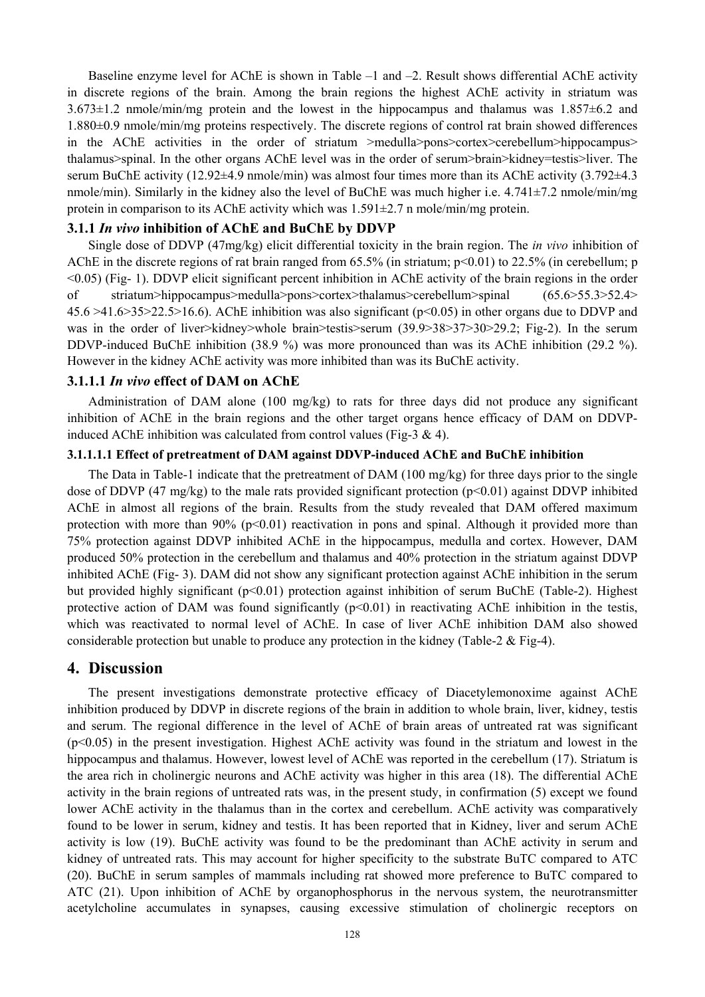Baseline enzyme level for AChE is shown in Table –1 and –2. Result shows differential AChE activity in discrete regions of the brain. Among the brain regions the highest AChE activity in striatum was 3.673±1.2 nmole/min/mg protein and the lowest in the hippocampus and thalamus was 1.857±6.2 and 1.880±0.9 nmole/min/mg proteins respectively. The discrete regions of control rat brain showed differences in the AChE activities in the order of striatum >medulla>pons>cortex>cerebellum>hippocampus> thalamus>spinal. In the other organs AChE level was in the order of serum>brain>kidney=testis>liver. The serum BuChE activity (12.92 $\pm$ 4.9 nmole/min) was almost four times more than its AChE activity (3.792 $\pm$ 4.3 nmole/min). Similarly in the kidney also the level of BuChE was much higher i.e. 4.741±7.2 nmole/min/mg protein in comparison to its AChE activity which was 1.591±2.7 n mole/min/mg protein.

#### **3.1.1** *In vivo* **inhibition of AChE and BuChE by DDVP**

Single dose of DDVP (47mg/kg) elicit differential toxicity in the brain region. The *in vivo* inhibition of AChE in the discrete regions of rat brain ranged from 65.5% (in striatum; p<0.01) to 22.5% (in cerebellum; p <0.05) (Fig- 1). DDVP elicit significant percent inhibition in AChE activity of the brain regions in the order of striatum>hippocampus>medulla>pons>cortex>thalamus>cerebellum>spinal (65.6>55.3>52.4> 45.6 >41.6>35>22.5>16.6). AChE inhibition was also significant (p<0.05) in other organs due to DDVP and was in the order of liver>kidney>whole brain>testis>serum (39.9>38>37>30>29.2; Fig-2). In the serum DDVP-induced BuChE inhibition (38.9 %) was more pronounced than was its AChE inhibition (29.2 %). However in the kidney AChE activity was more inhibited than was its BuChE activity.

#### **3.1.1.1** *In vivo* **effect of DAM on AChE**

Administration of DAM alone (100 mg/kg) to rats for three days did not produce any significant inhibition of AChE in the brain regions and the other target organs hence efficacy of DAM on DDVPinduced AChE inhibition was calculated from control values (Fig-3  $\&$  4).

#### **3.1.1.1.1 Effect of pretreatment of DAM against DDVP-induced AChE and BuChE inhibition**

The Data in Table-1 indicate that the pretreatment of DAM (100 mg/kg) for three days prior to the single dose of DDVP (47 mg/kg) to the male rats provided significant protection ( $p<0.01$ ) against DDVP inhibited AChE in almost all regions of the brain. Results from the study revealed that DAM offered maximum protection with more than  $90\%$  ( $p<0.01$ ) reactivation in pons and spinal. Although it provided more than 75% protection against DDVP inhibited AChE in the hippocampus, medulla and cortex. However, DAM produced 50% protection in the cerebellum and thalamus and 40% protection in the striatum against DDVP inhibited AChE (Fig- 3). DAM did not show any significant protection against AChE inhibition in the serum but provided highly significant (p<0.01) protection against inhibition of serum BuChE (Table-2). Highest protective action of DAM was found significantly  $(p<0.01)$  in reactivating AChE inhibition in the testis, which was reactivated to normal level of AChE. In case of liver AChE inhibition DAM also showed considerable protection but unable to produce any protection in the kidney (Table-2 & Fig-4).

#### **4. Discussion**

The present investigations demonstrate protective efficacy of Diacetylemonoxime against AChE inhibition produced by DDVP in discrete regions of the brain in addition to whole brain, liver, kidney, testis and serum. The regional difference in the level of AChE of brain areas of untreated rat was significant (p<0.05) in the present investigation. Highest AChE activity was found in the striatum and lowest in the hippocampus and thalamus. However, lowest level of AChE was reported in the cerebellum (17). Striatum is the area rich in cholinergic neurons and AChE activity was higher in this area (18). The differential AChE activity in the brain regions of untreated rats was, in the present study, in confirmation (5) except we found lower AChE activity in the thalamus than in the cortex and cerebellum. AChE activity was comparatively found to be lower in serum, kidney and testis. It has been reported that in Kidney, liver and serum AChE activity is low (19). BuChE activity was found to be the predominant than AChE activity in serum and kidney of untreated rats. This may account for higher specificity to the substrate BuTC compared to ATC (20). BuChE in serum samples of mammals including rat showed more preference to BuTC compared to ATC (21). Upon inhibition of AChE by organophosphorus in the nervous system, the neurotransmitter acetylcholine accumulates in synapses, causing excessive stimulation of cholinergic receptors on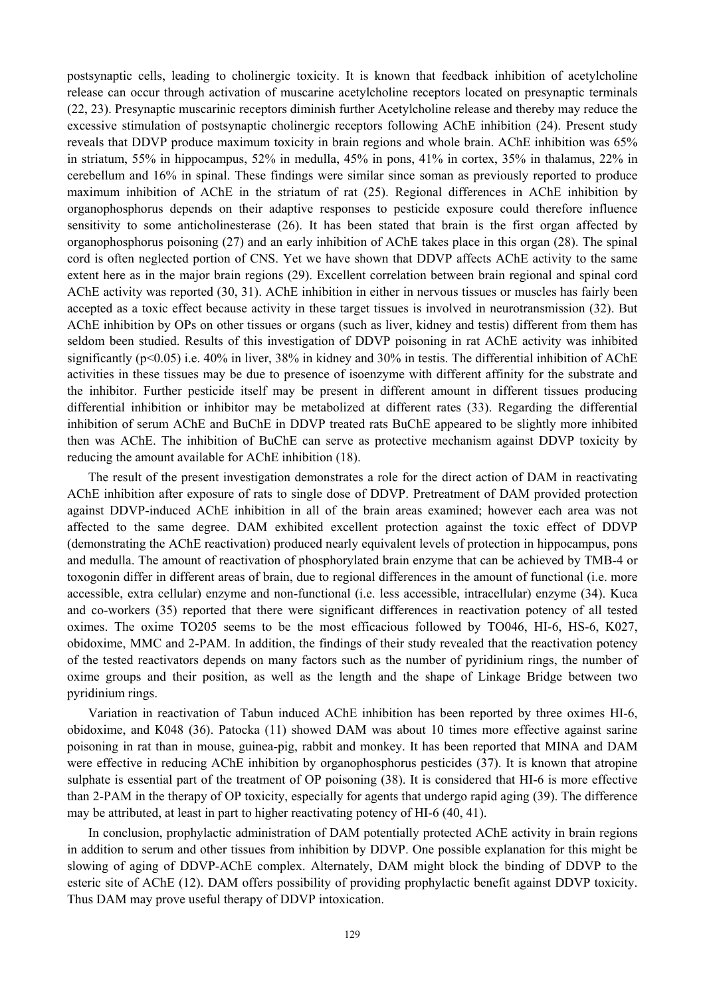postsynaptic cells, leading to cholinergic toxicity. It is known that feedback inhibition of acetylcholine release can occur through activation of muscarine acetylcholine receptors located on presynaptic terminals (22, 23). Presynaptic muscarinic receptors diminish further Acetylcholine release and thereby may reduce the excessive stimulation of postsynaptic cholinergic receptors following AChE inhibition (24). Present study reveals that DDVP produce maximum toxicity in brain regions and whole brain. AChE inhibition was 65% in striatum, 55% in hippocampus, 52% in medulla, 45% in pons, 41% in cortex, 35% in thalamus, 22% in cerebellum and 16% in spinal. These findings were similar since soman as previously reported to produce maximum inhibition of AChE in the striatum of rat (25). Regional differences in AChE inhibition by organophosphorus depends on their adaptive responses to pesticide exposure could therefore influence sensitivity to some anticholinesterase (26). It has been stated that brain is the first organ affected by organophosphorus poisoning (27) and an early inhibition of AChE takes place in this organ (28). The spinal cord is often neglected portion of CNS. Yet we have shown that DDVP affects AChE activity to the same extent here as in the major brain regions (29). Excellent correlation between brain regional and spinal cord AChE activity was reported (30, 31). AChE inhibition in either in nervous tissues or muscles has fairly been accepted as a toxic effect because activity in these target tissues is involved in neurotransmission (32). But AChE inhibition by OPs on other tissues or organs (such as liver, kidney and testis) different from them has seldom been studied. Results of this investigation of DDVP poisoning in rat AChE activity was inhibited significantly (p<0.05) i.e. 40% in liver, 38% in kidney and 30% in testis. The differential inhibition of AChE activities in these tissues may be due to presence of isoenzyme with different affinity for the substrate and the inhibitor. Further pesticide itself may be present in different amount in different tissues producing differential inhibition or inhibitor may be metabolized at different rates (33). Regarding the differential inhibition of serum AChE and BuChE in DDVP treated rats BuChE appeared to be slightly more inhibited then was AChE. The inhibition of BuChE can serve as protective mechanism against DDVP toxicity by reducing the amount available for AChE inhibition (18).

The result of the present investigation demonstrates a role for the direct action of DAM in reactivating AChE inhibition after exposure of rats to single dose of DDVP. Pretreatment of DAM provided protection against DDVP-induced AChE inhibition in all of the brain areas examined; however each area was not affected to the same degree. DAM exhibited excellent protection against the toxic effect of DDVP (demonstrating the AChE reactivation) produced nearly equivalent levels of protection in hippocampus, pons and medulla. The amount of reactivation of phosphorylated brain enzyme that can be achieved by TMB-4 or toxogonin differ in different areas of brain, due to regional differences in the amount of functional (i.e. more accessible, extra cellular) enzyme and non-functional (i.e. less accessible, intracellular) enzyme (34). Kuca and co-workers (35) reported that there were significant differences in reactivation potency of all tested oximes. The oxime TO205 seems to be the most efficacious followed by TO046, HI-6, HS-6, K027, obidoxime, MMC and 2-PAM. In addition, the findings of their study revealed that the reactivation potency of the tested reactivators depends on many factors such as the number of pyridinium rings, the number of oxime groups and their position, as well as the length and the shape of Linkage Bridge between two pyridinium rings.

Variation in reactivation of Tabun induced AChE inhibition has been reported by three oximes HI-6, obidoxime, and K048 (36). Patocka (11) showed DAM was about 10 times more effective against sarine poisoning in rat than in mouse, guinea-pig, rabbit and monkey. It has been reported that MINA and DAM were effective in reducing AChE inhibition by organophosphorus pesticides (37). It is known that atropine sulphate is essential part of the treatment of OP poisoning (38). It is considered that HI-6 is more effective than 2-PAM in the therapy of OP toxicity, especially for agents that undergo rapid aging (39). The difference may be attributed, at least in part to higher reactivating potency of HI-6 (40, 41).

In conclusion, prophylactic administration of DAM potentially protected AChE activity in brain regions in addition to serum and other tissues from inhibition by DDVP. One possible explanation for this might be slowing of aging of DDVP-AChE complex. Alternately, DAM might block the binding of DDVP to the esteric site of AChE (12). DAM offers possibility of providing prophylactic benefit against DDVP toxicity. Thus DAM may prove useful therapy of DDVP intoxication.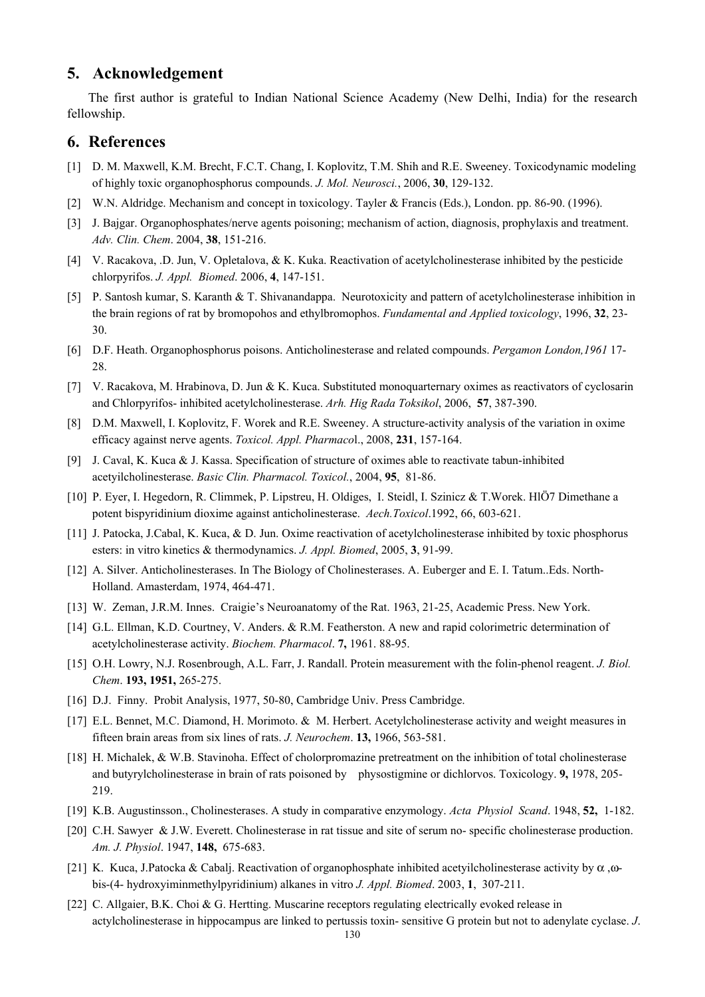### **5. Acknowledgement**

The first author is grateful to Indian National Science Academy (New Delhi, India) for the research fellowship.

#### **6. References**

- [1] D. M. Maxwell, K.M. Brecht, F.C.T. Chang, I. Koplovitz, T.M. Shih and R.E. Sweeney. Toxicodynamic modeling of highly toxic organophosphorus compounds. *J. Mol. Neurosci.*, 2006, **30**, 129-132.
- [2] W.N. Aldridge. Mechanism and concept in toxicology. Tayler & Francis (Eds.), London. pp. 86-90. (1996).
- [3] J. Bajgar. Organophosphates/nerve agents poisoning; mechanism of action, diagnosis, prophylaxis and treatment. *Adv. Clin. Chem*. 2004, **38**, 151-216.
- [4] V. Racakova, .D. Jun, V. Opletalova, & K. Kuka. Reactivation of acetylcholinesterase inhibited by the pesticide chlorpyrifos. *J. Appl. Biomed*. 2006, **4**, 147-151.
- [5] P. Santosh kumar, S. Karanth & T. Shivanandappa. Neurotoxicity and pattern of acetylcholinesterase inhibition in the brain regions of rat by bromopohos and ethylbromophos. *Fundamental and Applied toxicology*, 1996, **32**, 23- 30.
- [6] D.F. Heath. Organophosphorus poisons. Anticholinesterase and related compounds. *Pergamon London,1961* 17- 28
- [7] V. Racakova, M. Hrabinova, D. Jun & K. Kuca. Substituted monoquarternary oximes as reactivators of cyclosarin and Chlorpyrifos- inhibited acetylcholinesterase. *Arh. Hig Rada Toksikol*, 2006, **57**, 387-390.
- [8] D.M. Maxwell, I. Koplovitz, F. Worek and R.E. Sweeney. A structure-activity analysis of the variation in oxime efficacy against nerve agents. *Toxicol. Appl. Pharmaco*l., 2008, **231**, 157-164.
- [9] J. Caval, K. Kuca & J. Kassa. Specification of structure of oximes able to reactivate tabun-inhibited acetyilcholinesterase. *Basic Clin. Pharmacol. Toxicol.*, 2004, **95**, 81-86.
- [10] P. Eyer, I. Hegedorn, R. Climmek, P. Lipstreu, H. Oldiges, I. Steidl, I. Szinicz & T.Worek. HlÖ7 Dimethane a potent bispyridinium dioxime against anticholinesterase. *Aech.Toxicol*.1992, 66, 603-621.
- [11] J. Patocka, J.Cabal, K. Kuca, & D. Jun. Oxime reactivation of acetylcholinesterase inhibited by toxic phosphorus esters: in vitro kinetics & thermodynamics. *J. Appl. Biomed*, 2005, **3**, 91-99.
- [12] A. Silver. Anticholinesterases. In The Biology of Cholinesterases. A. Euberger and E. I. Tatum..Eds. North-Holland. Amasterdam, 1974, 464-471.
- [13] W. Zeman, J.R.M. Innes. Craigie's Neuroanatomy of the Rat. 1963, 21-25, Academic Press. New York.
- [14] G.L. Ellman, K.D. Courtney, V. Anders. & R.M. Featherston. A new and rapid colorimetric determination of acetylcholinesterase activity. *Biochem. Pharmacol*. **7,** 1961. 88-95.
- [15] O.H. Lowry, N.J. Rosenbrough, A.L. Farr, J. Randall. Protein measurement with the folin-phenol reagent. *J. Biol. Chem*. **193, 1951,** 265-275.
- [16] D.J. Finny. Probit Analysis, 1977, 50-80, Cambridge Univ. Press Cambridge.
- [17] E.L. Bennet, M.C. Diamond, H. Morimoto. & M. Herbert. Acetylcholinesterase activity and weight measures in fifteen brain areas from six lines of rats. *J. Neurochem*. **13,** 1966, 563-581.
- [18] H. Michalek, & W.B. Stavinoha. Effect of cholorpromazine pretreatment on the inhibition of total cholinesterase and butyrylcholinesterase in brain of rats poisoned by physostigmine or dichlorvos. Toxicology. **9,** 1978, 205- 219.
- [19] K.B. Augustinsson., Cholinesterases. A study in comparative enzymology. *Acta Physiol Scand*. 1948, **52,** 1-182.
- [20] C.H. Sawyer & J.W. Everett. Cholinesterase in rat tissue and site of serum no- specific cholinesterase production. *Am. J. Physiol*. 1947, **148,** 675-683.
- [21] K. Kuca, J.Patocka & Cabalj. Reactivation of organophosphate inhibited acetyilcholinesterase activity by  $\alpha$ , $\omega$ bis-(4- hydroxyiminmethylpyridinium) alkanes in vitro *J. Appl. Biomed*. 2003, **1**, 307-211.
- [22] C. Allgaier, B.K. Choi & G. Hertting. Muscarine receptors regulating electrically evoked release in actylcholinesterase in hippocampus are linked to pertussis toxin- sensitive G protein but not to adenylate cyclase. *J*.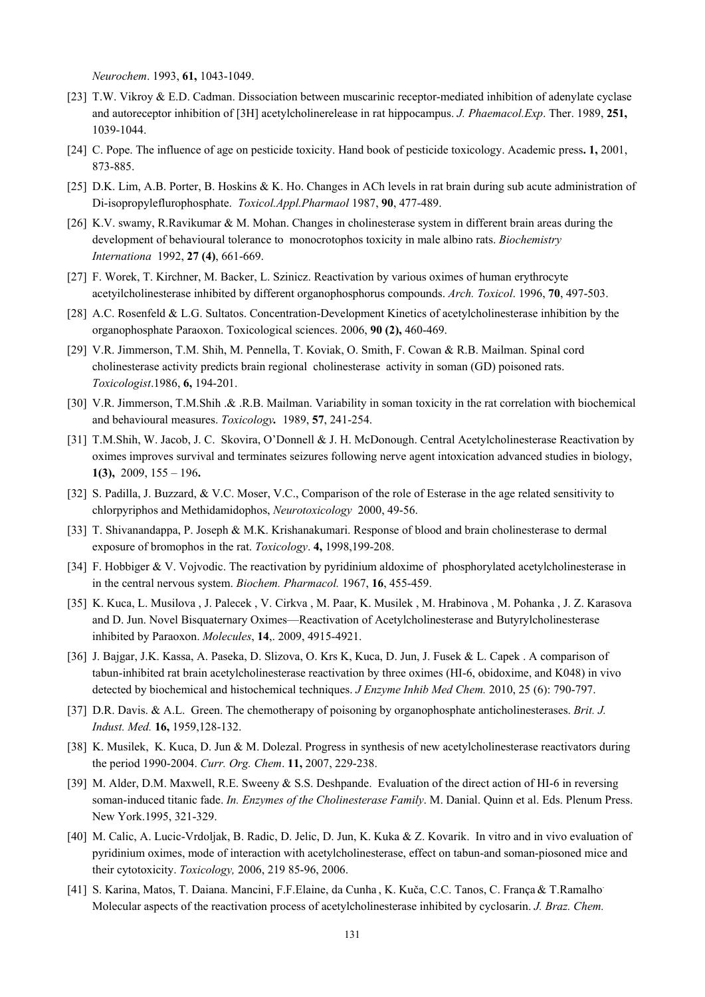*Neurochem*. 1993, **61,** 1043-1049.

- [23] T.W. Vikroy & E.D. Cadman. Dissociation between muscarinic receptor-mediated inhibition of adenylate cyclase and autoreceptor inhibition of [3H] acetylcholinerelease in rat hippocampus. *J. Phaemacol.Exp*. Ther. 1989, **251,** 1039-1044.
- [24] C. Pope. The influence of age on pesticide toxicity. Hand book of pesticide toxicology. Academic press**. 1,** 2001, 873-885.
- [25] D.K. Lim, A.B. Porter, B. Hoskins & K. Ho. Changes in ACh levels in rat brain during sub acute administration of Di-isopropyleflurophosphate. *Toxicol.Appl.Pharmaol* 1987, **90**, 477-489.
- [26] K.V. swamy, R.Ravikumar & M. Mohan. Changes in cholinesterase system in different brain areas during the development of behavioural tolerance to monocrotophos toxicity in male albino rats. *Biochemistry Internationa* 1992, **27 (4)**, 661-669.
- [27] F. Worek, T. Kirchner, M. Backer, L. Szinicz. Reactivation by various oximes of human erythrocyte acetyilcholinesterase inhibited by different organophosphorus compounds. *Arch. Toxicol*. 1996, **70**, 497-503.
- [28] A.C. Rosenfeld & L.G. Sultatos. Concentration-Development Kinetics of acetylcholinesterase inhibition by the organophosphate Paraoxon. Toxicological sciences. 2006, **90 (2),** 460-469.
- [29] V.R. Jimmerson, T.M. Shih, M. Pennella, T. Koviak, O. Smith, F. Cowan & R.B. Mailman. Spinal cord cholinesterase activity predicts brain regional cholinesterase activity in soman (GD) poisoned rats. *Toxicologist*.1986, **6,** 194-201.
- [30] V.R. Jimmerson, T.M.Shih .& .R.B. Mailman. Variability in soman toxicity in the rat correlation with biochemical and behavioural measures. *Toxicology.*1989, **57**, 241-254.
- [31] T.M.Shih, W. Jacob, J. C. Skovira, O'Donnell & J. H. McDonough. Central Acetylcholinesterase Reactivation by oximes improves survival and terminates seizures following nerve agent intoxication advanced studies in biology, **1(3),** 2009, 155 – 196**.**
- [32] S. Padilla, J. Buzzard, & V.C. Moser, V.C., Comparison of the role of Esterase in the age related sensitivity to chlorpyriphos and Methidamidophos, *Neurotoxicology* 2000, 49-56.
- [33] T. Shivanandappa, P. Joseph & M.K. Krishanakumari. Response of blood and brain cholinesterase to dermal exposure of bromophos in the rat. *Toxicology*. **4,** 1998,199-208.
- [34] F. Hobbiger & V. Vojvodic. The reactivation by pyridinium aldoxime of phosphorylated acetylcholinesterase in in the central nervous system. *Biochem. Pharmacol.* 1967, **16**, 455-459.
- [35] K. Kuca, L. Musilova , J. Palecek , V. Cirkva , M. Paar, K. Musilek , M. Hrabinova , M. Pohanka , J. Z. Karasova and D. Jun. Novel Bisquaternary Oximes—Reactivation of Acetylcholinesterase and Butyrylcholinesterase inhibited by Paraoxon. *Molecules*, **14**,. 2009, 4915-4921.
- [36] J. Bajgar, J.K. Kassa, A. Paseka, D. Slizova, O. Krs K, Kuca, D. Jun, J. Fusek & L. Capek . A comparison of tabun-inhibited rat brain acetylcholinesterase reactivation by three oximes (HI-6, obidoxime, and K048) in vivo detected by biochemical and histochemical techniques. *J Enzyme Inhib Med Chem.* 2010, 25 (6): 790-797.
- [37] D.R. Davis. & A.L. Green. The chemotherapy of poisoning by organophosphate anticholinesterases. *Brit. J. Indust. Med.* **16,** 1959,128-132.
- [38] K. Musilek, K. Kuca, D. Jun & M. Dolezal. Progress in synthesis of new acetylcholinesterase reactivators during the period 1990-2004. *Curr. Org. Chem*. **11,** 2007, 229-238.
- [39] M. Alder, D.M. Maxwell, R.E. Sweeny & S.S. Deshpande. Evaluation of the direct action of HI-6 in reversing soman-induced titanic fade. *In. Enzymes of the Cholinesterase Family*. M. Danial. Quinn et al. Eds. Plenum Press. New York.1995, 321-329.
- [40] M. Calic, A. Lucic-Vrdoljak, B. Radic, D. Jelic, D. Jun, K. Kuka & Z. Kovarik. In vitro and in vivo evaluation of pyridinium oximes, mode of interaction with acetylcholinesterase, effect on tabun-and soman-piosoned mice and their cytotoxicity. *Toxicology,* 2006, 219 85-96, 2006.
- [41] S. Karina, Matos, T. Daiana. Mancini, F.F.Elaine, da Cunha , K. Kuča, C.C. Tanos, C. França& T.Ramalho. Molecular aspects of the reactivation process of acetylcholinesterase inhibited by cyclosarin. *J. Braz. Chem.*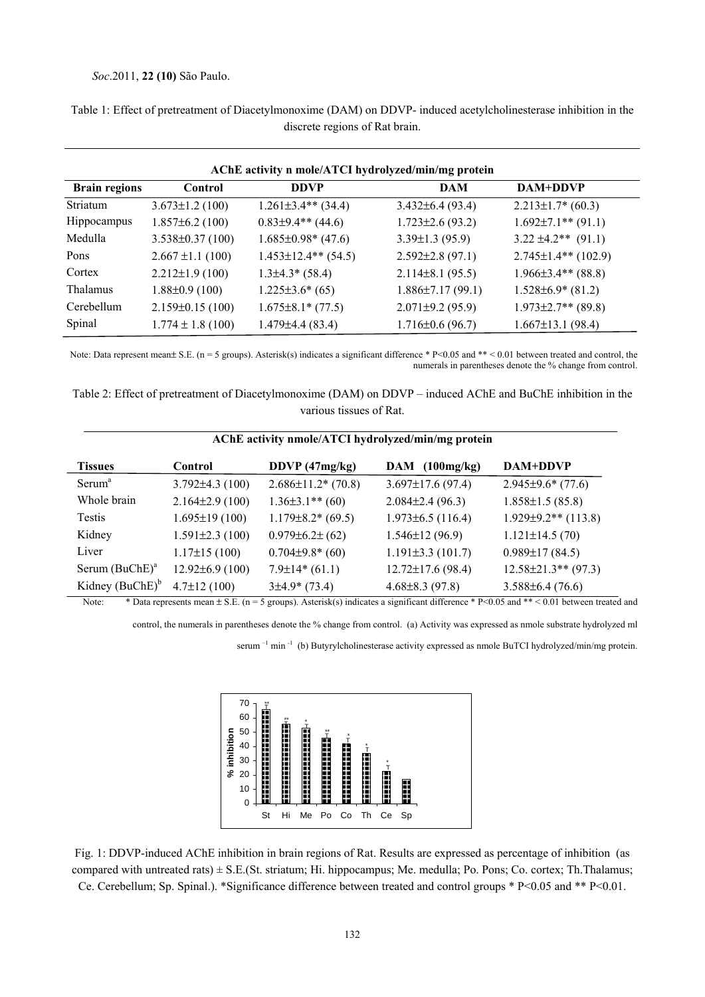#### *Soc*.2011, **22 (10)** São Paulo.

| AChE activity n mole/ATCI hydrolyzed/min/mg protein |                        |                         |                        |                           |  |  |
|-----------------------------------------------------|------------------------|-------------------------|------------------------|---------------------------|--|--|
| <b>Brain regions</b>                                | Control                | <b>DDVP</b>             | <b>DAM</b>             | <b>DAM+DDVP</b>           |  |  |
| Striatum                                            | $3.673 \pm 1.2$ (100)  | $1.261\pm3.4**$ (34.4)  | $3.432\pm 6.4$ (93.4)  | $2.213 \pm 1.7$ (60.3)    |  |  |
| <b>Hippocampus</b>                                  | $1.857\pm 6.2$ (100)   | $0.83\pm9.4**$ (44.6)   | $1.723 \pm 2.6$ (93.2) | $1.692 \pm 7.1$ ** (91.1) |  |  |
| Medulla                                             | $3.538 \pm 0.37$ (100) | $1.685\pm0.98*(47.6)$   | $3.39 \pm 1.3$ (95.9)  | $3.22 \pm 4.2**$ (91.1)   |  |  |
| Pons                                                | $2.667 \pm 1.1$ (100)  | $1.453\pm12.4**$ (54.5) | $2.592 \pm 2.8$ (97.1) | $2.745 \pm 1.4**$ (102.9) |  |  |
| Cortex                                              | $2.212 \pm 1.9$ (100)  | $1.3\pm4.3*$ (58.4)     | $2.114\pm8.1(95.5)$    | $1.966\pm3.4**$ (88.8)    |  |  |
| Thalamus                                            | $1.88 \pm 0.9$ (100)   | $1.225 \pm 3.6^*$ (65)  | $1.886\pm7.17(99.1)$   | $1.528 \pm 6.9$ (81.2)    |  |  |
| Cerebellum                                          | $2.159 \pm 0.15(100)$  | $1.675 \pm 8.1* (77.5)$ | $2.071\pm9.2(95.9)$    | $1.973 \pm 2.7$ ** (89.8) |  |  |
| Spinal                                              | $1.774 \pm 1.8$ (100)  | $1.479\pm4.4(83.4)$     | $1.716 \pm 0.6$ (96.7) | $1.667 \pm 13.1$ (98.4)   |  |  |

Table 1: Effect of pretreatment of Diacetylmonoxime (DAM) on DDVP- induced acetylcholinesterase inhibition in the discrete regions of Rat brain.

Note: Data represent mean± S.E. (n = 5 groups). Asterisk(s) indicates a significant difference \* P<0.05 and \*\* < 0.01 between treated and control, the numerals in parentheses denote the % change from control.

Table 2: Effect of pretreatment of Diacetylmonoxime (DAM) on DDVP – induced AChE and BuChE inhibition in the various tissues of Rat.

| AChE activity nmole/ATCI hydrolyzed/min/mg protein |                       |                           |                         |                            |  |  |
|----------------------------------------------------|-----------------------|---------------------------|-------------------------|----------------------------|--|--|
| <b>Tissues</b>                                     | <b>Control</b>        | DDVP (47mg/kg)            | DAM $(100mg/kg)$        | DAM+DDVP                   |  |  |
| Serum <sup>a</sup>                                 | $3.792\pm4.3(100)$    | $2.686 \pm 11.2$ * (70.8) | $3.697 \pm 17.6$ (97.4) | $2.945\pm9.6*(77.6)$       |  |  |
| Whole brain                                        | $2.164\pm2.9(100)$    | $1.36\pm3.1**$ (60)       | $2.084\pm2.4(96.3)$     | $1.858 \pm 1.5$ (85.8)     |  |  |
| Testis                                             | $1.695 \pm 19(100)$   | $1.179\pm8.2*(69.5)$      | $1.973\pm 6.5$ (116.4)  | $1.929 \pm 9.2$ ** (113.8) |  |  |
| Kidney                                             | $1.591 \pm 2.3$ (100) | $0.979 \pm 6.2 \pm (62)$  | $1.546 \pm 12(96.9)$    | $1.121 \pm 14.5(70)$       |  |  |
| Liver                                              | $1.17 \pm 15(100)$    | $0.704\pm9.8*(60)$        | $1.191\pm3.3(101.7)$    | $0.989 \pm 17(84.5)$       |  |  |
| Serum $(BuChE)^a$                                  | $12.92\pm 6.9(100)$   | $7.9\pm14*(61.1)$         | $12.72 \pm 17.6$ (98.4) | $12.58\pm21.3**$ (97.3)    |  |  |
| Kidney $(BuChE)^b$                                 | $4.7 \pm 12(100)$     | $3\pm4.9$ (73.4)          | $4.68\pm8.3(97.8)$      | $3.588\pm 6.4(76.6)$       |  |  |

Note: \* Data represents mean  $\pm$  S.E. (n = 5 groups). Asterisk(s) indicates a significant difference \* P<0.05 and \*\* < 0.01 between treated and

control, the numerals in parentheses denote the % change from control. (a) Activity was expressed as nmole substrate hydrolyzed ml

serum<sup>-1</sup> min<sup>-1</sup> (b) Butyrylcholinesterase activity expressed as nmole BuTCI hydrolyzed/min/mg protein.



Fig. 1: DDVP-induced AChE inhibition in brain regions of Rat. Results are expressed as percentage of inhibition (as compared with untreated rats)  $\pm$  S.E.(St. striatum; Hi. hippocampus; Me. medulla; Po. Pons; Co. cortex; Th. Thalamus; Ce. Cerebellum; Sp. Spinal.). \*Significance difference between treated and control groups \* P<0.05 and \*\* P<0.01.